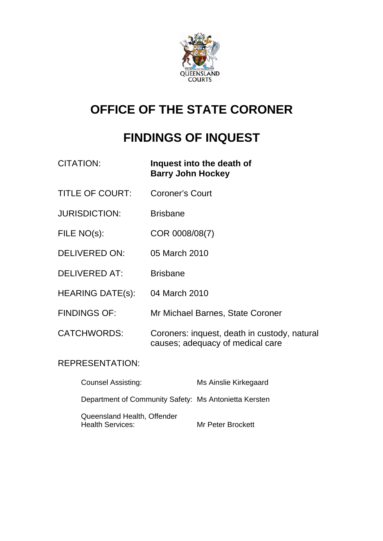

# **OFFICE OF THE STATE CORONER**

# **FINDINGS OF INQUEST**

| <b>CITATION:</b>        | Inquest into the death of<br><b>Barry John Hockey</b>                            |
|-------------------------|----------------------------------------------------------------------------------|
| <b>TITLE OF COURT:</b>  | <b>Coroner's Court</b>                                                           |
| <b>JURISDICTION:</b>    | <b>Brisbane</b>                                                                  |
| FILE NO(s):             | COR 0008/08(7)                                                                   |
| <b>DELIVERED ON:</b>    | 05 March 2010                                                                    |
| <b>DELIVERED AT:</b>    | <b>Brisbane</b>                                                                  |
| <b>HEARING DATE(s):</b> | 04 March 2010                                                                    |
| <b>FINDINGS OF:</b>     | Mr Michael Barnes, State Coroner                                                 |
| <b>CATCHWORDS:</b>      | Coroners: inquest, death in custody, natural<br>causes; adequacy of medical care |
|                         |                                                                                  |

# REPRESENTATION:

| <b>Counsel Assisting:</b>                              | Ms Ainslie Kirkegaard |
|--------------------------------------------------------|-----------------------|
| Department of Community Safety: Ms Antonietta Kersten  |                       |
| Queensland Health, Offender<br><b>Health Services:</b> | Mr Peter Brockett     |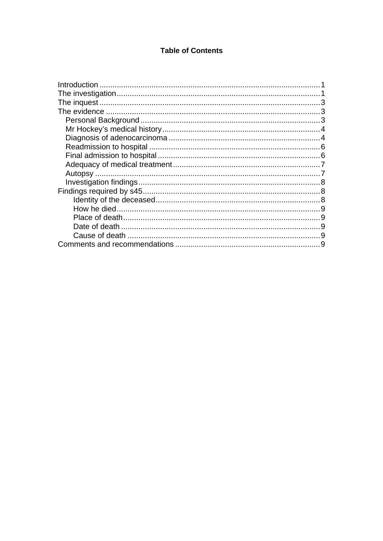#### **Table of Contents**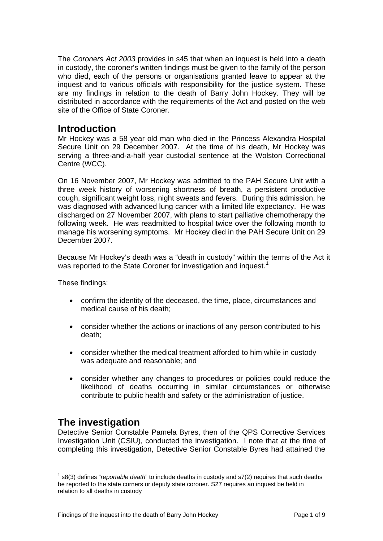<span id="page-2-0"></span>The *Coroners Act 2003* provides in s45 that when an inquest is held into a death in custody, the coroner's written findings must be given to the family of the person who died, each of the persons or organisations granted leave to appear at the inquest and to various officials with responsibility for the justice system. These are my findings in relation to the death of Barry John Hockey. They will be distributed in accordance with the requirements of the Act and posted on the web site of the Office of State Coroner.

## **Introduction**

Mr Hockey was a 58 year old man who died in the Princess Alexandra Hospital Secure Unit on 29 December 2007. At the time of his death, Mr Hockey was serving a three-and-a-half year custodial sentence at the Wolston Correctional Centre (WCC).

On 16 November 2007, Mr Hockey was admitted to the PAH Secure Unit with a three week history of worsening shortness of breath, a persistent productive cough, significant weight loss, night sweats and fevers. During this admission, he was diagnosed with advanced lung cancer with a limited life expectancy. He was discharged on 27 November 2007, with plans to start palliative chemotherapy the following week. He was readmitted to hospital twice over the following month to manage his worsening symptoms. Mr Hockey died in the PAH Secure Unit on 29 December 2007.

Because Mr Hockey's death was a "death in custody" within the terms of the Act it was reported to the State Coroner for investigation and inquest.<sup>[1](#page-2-1)</sup>

These findings:

- confirm the identity of the deceased, the time, place, circumstances and medical cause of his death;
- consider whether the actions or inactions of any person contributed to his death;
- consider whether the medical treatment afforded to him while in custody was adequate and reasonable; and
- consider whether any changes to procedures or policies could reduce the likelihood of deaths occurring in similar circumstances or otherwise contribute to public health and safety or the administration of justice.

# **The investigation**

Detective Senior Constable Pamela Byres, then of the QPS Corrective Services Investigation Unit (CSIU), conducted the investigation. I note that at the time of completing this investigation, Detective Senior Constable Byres had attained the

<span id="page-2-1"></span><sup>&</sup>lt;sup>1</sup> s8(3) defines "*reportable death*" to include deaths in custody and s7(2) requires that such deaths be reported to the state corners or deputy state coroner. S27 requires an inquest be held in relation to all deaths in custody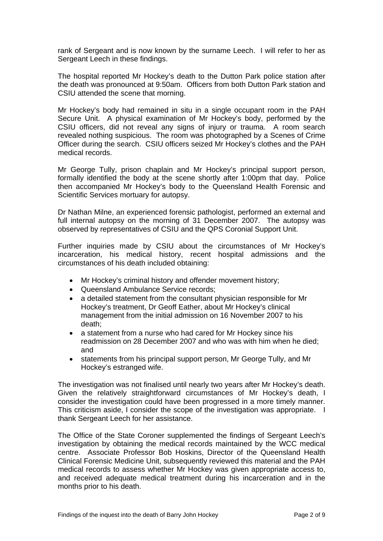rank of Sergeant and is now known by the surname Leech. I will refer to her as Sergeant Leech in these findings.

The hospital reported Mr Hockey's death to the Dutton Park police station after the death was pronounced at 9:50am. Officers from both Dutton Park station and CSIU attended the scene that morning.

Mr Hockey's body had remained in situ in a single occupant room in the PAH Secure Unit. A physical examination of Mr Hockey's body, performed by the CSIU officers, did not reveal any signs of injury or trauma. A room search revealed nothing suspicious. The room was photographed by a Scenes of Crime Officer during the search. CSIU officers seized Mr Hockey's clothes and the PAH medical records.

Mr George Tully, prison chaplain and Mr Hockey's principal support person, formally identified the body at the scene shortly after 1:00pm that day. Police then accompanied Mr Hockey's body to the Queensland Health Forensic and Scientific Services mortuary for autopsy.

Dr Nathan Milne, an experienced forensic pathologist, performed an external and full internal autopsy on the morning of 31 December 2007. The autopsy was observed by representatives of CSIU and the QPS Coronial Support Unit.

Further inquiries made by CSIU about the circumstances of Mr Hockey's incarceration, his medical history, recent hospital admissions and the circumstances of his death included obtaining:

- Mr Hockey's criminal history and offender movement history;
- Queensland Ambulance Service records;
- a detailed statement from the consultant physician responsible for Mr Hockey's treatment, Dr Geoff Eather, about Mr Hockey's clinical management from the initial admission on 16 November 2007 to his death;
- a statement from a nurse who had cared for Mr Hockey since his readmission on 28 December 2007 and who was with him when he died; and
- statements from his principal support person, Mr George Tully, and Mr Hockey's estranged wife.

The investigation was not finalised until nearly two years after Mr Hockey's death. Given the relatively straightforward circumstances of Mr Hockey's death, I consider the investigation could have been progressed in a more timely manner. This criticism aside, I consider the scope of the investigation was appropriate. I thank Sergeant Leech for her assistance.

The Office of the State Coroner supplemented the findings of Sergeant Leech's investigation by obtaining the medical records maintained by the WCC medical centre. Associate Professor Bob Hoskins, Director of the Queensland Health Clinical Forensic Medicine Unit, subsequently reviewed this material and the PAH medical records to assess whether Mr Hockey was given appropriate access to, and received adequate medical treatment during his incarceration and in the months prior to his death.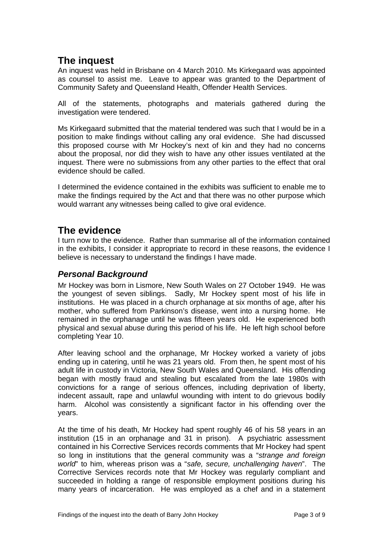# <span id="page-4-0"></span>**The inquest**

An inquest was held in Brisbane on 4 March 2010. Ms Kirkegaard was appointed as counsel to assist me. Leave to appear was granted to the Department of Community Safety and Queensland Health, Offender Health Services.

All of the statements, photographs and materials gathered during the investigation were tendered.

Ms Kirkegaard submitted that the material tendered was such that I would be in a position to make findings without calling any oral evidence. She had discussed this proposed course with Mr Hockey's next of kin and they had no concerns about the proposal, nor did they wish to have any other issues ventilated at the inquest. There were no submissions from any other parties to the effect that oral evidence should be called.

I determined the evidence contained in the exhibits was sufficient to enable me to make the findings required by the Act and that there was no other purpose which would warrant any witnesses being called to give oral evidence.

# **The evidence**

I turn now to the evidence. Rather than summarise all of the information contained in the exhibits, I consider it appropriate to record in these reasons, the evidence I believe is necessary to understand the findings I have made.

#### *Personal Background*

Mr Hockey was born in Lismore, New South Wales on 27 October 1949. He was the youngest of seven siblings. Sadly, Mr Hockey spent most of his life in institutions. He was placed in a church orphanage at six months of age, after his mother, who suffered from Parkinson's disease, went into a nursing home. He remained in the orphanage until he was fifteen years old. He experienced both physical and sexual abuse during this period of his life. He left high school before completing Year 10.

After leaving school and the orphanage, Mr Hockey worked a variety of jobs ending up in catering, until he was 21 years old. From then, he spent most of his adult life in custody in Victoria, New South Wales and Queensland. His offending began with mostly fraud and stealing but escalated from the late 1980s with convictions for a range of serious offences, including deprivation of liberty, indecent assault, rape and unlawful wounding with intent to do grievous bodily harm. Alcohol was consistently a significant factor in his offending over the years.

At the time of his death, Mr Hockey had spent roughly 46 of his 58 years in an institution (15 in an orphanage and 31 in prison). A psychiatric assessment contained in his Corrective Services records comments that Mr Hockey had spent so long in institutions that the general community was a "*strange and foreign world*" to him, whereas prison was a "*safe, secure, unchallenging haven*". The Corrective Services records note that Mr Hockey was regularly compliant and succeeded in holding a range of responsible employment positions during his many years of incarceration. He was employed as a chef and in a statement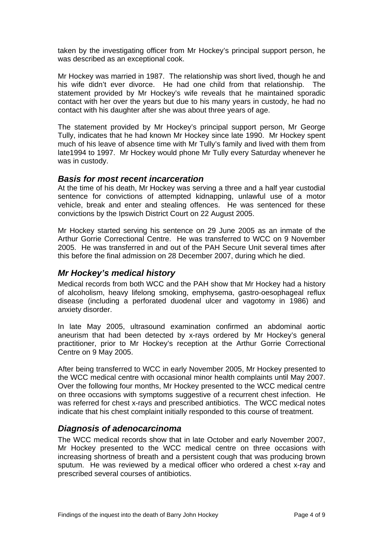<span id="page-5-0"></span>taken by the investigating officer from Mr Hockey's principal support person, he was described as an exceptional cook.

Mr Hockey was married in 1987. The relationship was short lived, though he and his wife didn't ever divorce. He had one child from that relationship. The statement provided by Mr Hockey's wife reveals that he maintained sporadic contact with her over the years but due to his many years in custody, he had no contact with his daughter after she was about three years of age.

The statement provided by Mr Hockey's principal support person, Mr George Tully, indicates that he had known Mr Hockey since late 1990. Mr Hockey spent much of his leave of absence time with Mr Tully's family and lived with them from late1994 to 1997. Mr Hockey would phone Mr Tully every Saturday whenever he was in custody.

#### *Basis for most recent incarceration*

At the time of his death, Mr Hockey was serving a three and a half year custodial sentence for convictions of attempted kidnapping, unlawful use of a motor vehicle, break and enter and stealing offences. He was sentenced for these convictions by the Ipswich District Court on 22 August 2005.

Mr Hockey started serving his sentence on 29 June 2005 as an inmate of the Arthur Gorrie Correctional Centre. He was transferred to WCC on 9 November 2005. He was transferred in and out of the PAH Secure Unit several times after this before the final admission on 28 December 2007, during which he died.

#### *Mr Hockey's medical history*

Medical records from both WCC and the PAH show that Mr Hockey had a history of alcoholism, heavy lifelong smoking, emphysema, gastro-oesophageal reflux disease (including a perforated duodenal ulcer and vagotomy in 1986) and anxiety disorder.

In late May 2005, ultrasound examination confirmed an abdominal aortic aneurism that had been detected by x-rays ordered by Mr Hockey's general practitioner, prior to Mr Hockey's reception at the Arthur Gorrie Correctional Centre on 9 May 2005.

After being transferred to WCC in early November 2005, Mr Hockey presented to the WCC medical centre with occasional minor health complaints until May 2007. Over the following four months, Mr Hockey presented to the WCC medical centre on three occasions with symptoms suggestive of a recurrent chest infection. He was referred for chest x-rays and prescribed antibiotics. The WCC medical notes indicate that his chest complaint initially responded to this course of treatment.

#### *Diagnosis of adenocarcinoma*

The WCC medical records show that in late October and early November 2007, Mr Hockey presented to the WCC medical centre on three occasions with increasing shortness of breath and a persistent cough that was producing brown sputum. He was reviewed by a medical officer who ordered a chest x-ray and prescribed several courses of antibiotics.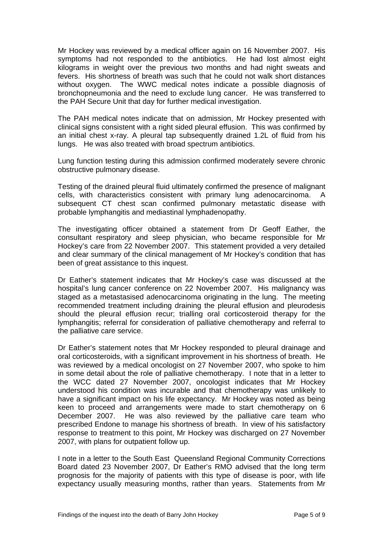Mr Hockey was reviewed by a medical officer again on 16 November 2007. His symptoms had not responded to the antibiotics. He had lost almost eight kilograms in weight over the previous two months and had night sweats and fevers. His shortness of breath was such that he could not walk short distances without oxygen. The WWC medical notes indicate a possible diagnosis of bronchopneumonia and the need to exclude lung cancer. He was transferred to the PAH Secure Unit that day for further medical investigation.

The PAH medical notes indicate that on admission, Mr Hockey presented with clinical signs consistent with a right sided pleural effusion. This was confirmed by an initial chest x-ray. A pleural tap subsequently drained 1.2L of fluid from his lungs. He was also treated with broad spectrum antibiotics.

Lung function testing during this admission confirmed moderately severe chronic obstructive pulmonary disease.

Testing of the drained pleural fluid ultimately confirmed the presence of malignant cells, with characteristics consistent with primary lung adenocarcinoma. A subsequent CT chest scan confirmed pulmonary metastatic disease with probable lymphangitis and mediastinal lymphadenopathy.

The investigating officer obtained a statement from Dr Geoff Eather, the consultant respiratory and sleep physician, who became responsible for Mr Hockey's care from 22 November 2007. This statement provided a very detailed and clear summary of the clinical management of Mr Hockey's condition that has been of great assistance to this inquest.

Dr Eather's statement indicates that Mr Hockey's case was discussed at the hospital's lung cancer conference on 22 November 2007. His malignancy was staged as a metastasised adenocarcinoma originating in the lung. The meeting recommended treatment including draining the pleural effusion and pleurodesis should the pleural effusion recur; trialling oral corticosteroid therapy for the lymphangitis; referral for consideration of palliative chemotherapy and referral to the palliative care service.

Dr Eather's statement notes that Mr Hockey responded to pleural drainage and oral corticosteroids, with a significant improvement in his shortness of breath. He was reviewed by a medical oncologist on 27 November 2007, who spoke to him in some detail about the role of palliative chemotherapy. I note that in a letter to the WCC dated 27 November 2007, oncologist indicates that Mr Hockey understood his condition was incurable and that chemotherapy was unlikely to have a significant impact on his life expectancy. Mr Hockey was noted as being keen to proceed and arrangements were made to start chemotherapy on 6 December 2007. He was also reviewed by the palliative care team who prescribed Endone to manage his shortness of breath. In view of his satisfactory response to treatment to this point, Mr Hockey was discharged on 27 November 2007, with plans for outpatient follow up.

I note in a letter to the South East Queensland Regional Community Corrections Board dated 23 November 2007, Dr Eather's RMO advised that the long term prognosis for the majority of patients with this type of disease is poor, with life expectancy usually measuring months, rather than years. Statements from Mr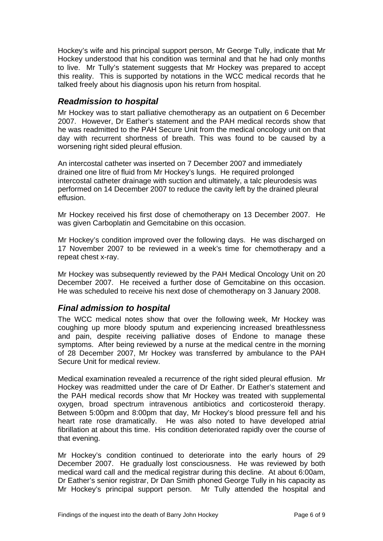<span id="page-7-0"></span>Hockey's wife and his principal support person, Mr George Tully, indicate that Mr Hockey understood that his condition was terminal and that he had only months to live. Mr Tully's statement suggests that Mr Hockey was prepared to accept this reality. This is supported by notations in the WCC medical records that he talked freely about his diagnosis upon his return from hospital.

#### *Readmission to hospital*

Mr Hockey was to start palliative chemotherapy as an outpatient on 6 December 2007. However, Dr Eather's statement and the PAH medical records show that he was readmitted to the PAH Secure Unit from the medical oncology unit on that day with recurrent shortness of breath. This was found to be caused by a worsening right sided pleural effusion.

An intercostal catheter was inserted on 7 December 2007 and immediately drained one litre of fluid from Mr Hockey's lungs. He required prolonged intercostal catheter drainage with suction and ultimately, a talc pleurodesis was performed on 14 December 2007 to reduce the cavity left by the drained pleural effusion.

Mr Hockey received his first dose of chemotherapy on 13 December 2007. He was given Carboplatin and Gemcitabine on this occasion.

Mr Hockey's condition improved over the following days. He was discharged on 17 November 2007 to be reviewed in a week's time for chemotherapy and a repeat chest x-ray.

Mr Hockey was subsequently reviewed by the PAH Medical Oncology Unit on 20 December 2007. He received a further dose of Gemcitabine on this occasion. He was scheduled to receive his next dose of chemotherapy on 3 January 2008.

#### *Final admission to hospital*

The WCC medical notes show that over the following week, Mr Hockey was coughing up more bloody sputum and experiencing increased breathlessness and pain, despite receiving palliative doses of Endone to manage these symptoms. After being reviewed by a nurse at the medical centre in the morning of 28 December 2007, Mr Hockey was transferred by ambulance to the PAH Secure Unit for medical review.

Medical examination revealed a recurrence of the right sided pleural effusion. Mr Hockey was readmitted under the care of Dr Eather. Dr Eather's statement and the PAH medical records show that Mr Hockey was treated with supplemental oxygen, broad spectrum intravenous antibiotics and corticosteroid therapy. Between 5:00pm and 8:00pm that day, Mr Hockey's blood pressure fell and his heart rate rose dramatically. He was also noted to have developed atrial fibrillation at about this time. His condition deteriorated rapidly over the course of that evening.

Mr Hockey's condition continued to deteriorate into the early hours of 29 December 2007. He gradually lost consciousness. He was reviewed by both medical ward call and the medical registrar during this decline. At about 6:00am, Dr Eather's senior registrar, Dr Dan Smith phoned George Tully in his capacity as Mr Hockey's principal support person. Mr Tully attended the hospital and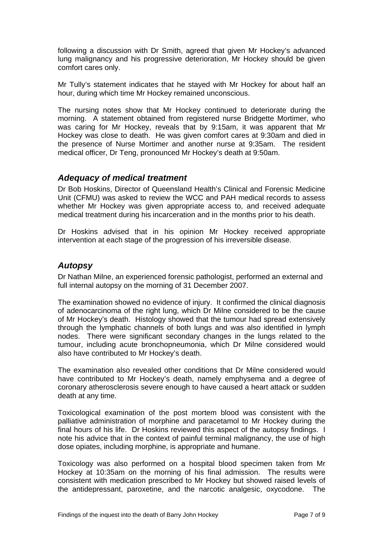<span id="page-8-0"></span>following a discussion with Dr Smith, agreed that given Mr Hockey's advanced lung malignancy and his progressive deterioration, Mr Hockey should be given comfort cares only.

Mr Tully's statement indicates that he stayed with Mr Hockey for about half an hour, during which time Mr Hockey remained unconscious.

The nursing notes show that Mr Hockey continued to deteriorate during the morning. A statement obtained from registered nurse Bridgette Mortimer, who was caring for Mr Hockey, reveals that by 9:15am, it was apparent that Mr Hockey was close to death. He was given comfort cares at 9:30am and died in the presence of Nurse Mortimer and another nurse at 9:35am. The resident medical officer, Dr Teng, pronounced Mr Hockey's death at 9:50am.

#### *Adequacy of medical treatment*

Dr Bob Hoskins, Director of Queensland Health's Clinical and Forensic Medicine Unit (CFMU) was asked to review the WCC and PAH medical records to assess whether Mr Hockey was given appropriate access to, and received adequate medical treatment during his incarceration and in the months prior to his death.

Dr Hoskins advised that in his opinion Mr Hockey received appropriate intervention at each stage of the progression of his irreversible disease.

#### *Autopsy*

Dr Nathan Milne, an experienced forensic pathologist, performed an external and full internal autopsy on the morning of 31 December 2007.

The examination showed no evidence of injury. It confirmed the clinical diagnosis of adenocarcinoma of the right lung, which Dr Milne considered to be the cause of Mr Hockey's death. Histology showed that the tumour had spread extensively through the lymphatic channels of both lungs and was also identified in lymph nodes. There were significant secondary changes in the lungs related to the tumour, including acute bronchopneumonia, which Dr Milne considered would also have contributed to Mr Hockey's death.

The examination also revealed other conditions that Dr Milne considered would have contributed to Mr Hockey's death, namely emphysema and a degree of coronary atherosclerosis severe enough to have caused a heart attack or sudden death at any time.

Toxicological examination of the post mortem blood was consistent with the palliative administration of morphine and paracetamol to Mr Hockey during the final hours of his life. Dr Hoskins reviewed this aspect of the autopsy findings. I note his advice that in the context of painful terminal malignancy, the use of high dose opiates, including morphine, is appropriate and humane.

Toxicology was also performed on a hospital blood specimen taken from Mr Hockey at 10:35am on the morning of his final admission. The results were consistent with medication prescribed to Mr Hockey but showed raised levels of the antidepressant, paroxetine, and the narcotic analgesic, oxycodone. The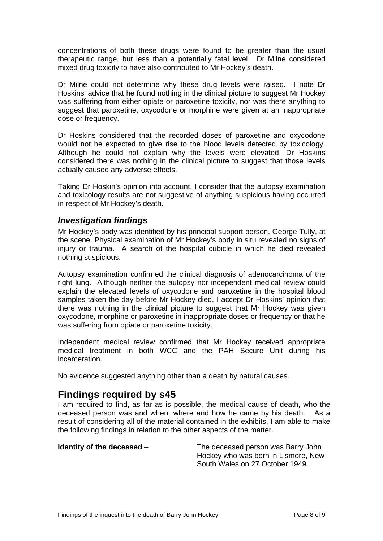<span id="page-9-0"></span>concentrations of both these drugs were found to be greater than the usual therapeutic range, but less than a potentially fatal level. Dr Milne considered mixed drug toxicity to have also contributed to Mr Hockey's death.

Dr Milne could not determine why these drug levels were raised. I note Dr Hoskins' advice that he found nothing in the clinical picture to suggest Mr Hockey was suffering from either opiate or paroxetine toxicity, nor was there anything to suggest that paroxetine, oxycodone or morphine were given at an inappropriate dose or frequency.

Dr Hoskins considered that the recorded doses of paroxetine and oxycodone would not be expected to give rise to the blood levels detected by toxicology. Although he could not explain why the levels were elevated, Dr Hoskins considered there was nothing in the clinical picture to suggest that those levels actually caused any adverse effects.

Taking Dr Hoskin's opinion into account, I consider that the autopsy examination and toxicology results are not suggestive of anything suspicious having occurred in respect of Mr Hockey's death.

#### *Investigation findings*

Mr Hockey's body was identified by his principal support person, George Tully, at the scene. Physical examination of Mr Hockey's body in situ revealed no signs of injury or trauma. A search of the hospital cubicle in which he died revealed nothing suspicious.

Autopsy examination confirmed the clinical diagnosis of adenocarcinoma of the right lung. Although neither the autopsy nor independent medical review could explain the elevated levels of oxycodone and paroxetine in the hospital blood samples taken the day before Mr Hockey died, I accept Dr Hoskins' opinion that there was nothing in the clinical picture to suggest that Mr Hockey was given oxycodone, morphine or paroxetine in inappropriate doses or frequency or that he was suffering from opiate or paroxetine toxicity.

Independent medical review confirmed that Mr Hockey received appropriate medical treatment in both WCC and the PAH Secure Unit during his incarceration.

No evidence suggested anything other than a death by natural causes.

### **Findings required by s45**

I am required to find, as far as is possible, the medical cause of death, who the deceased person was and when, where and how he came by his death. As a result of considering all of the material contained in the exhibits, I am able to make the following findings in relation to the other aspects of the matter.

**Identity of the deceased** – The deceased person was Barry John Hockey who was born in Lismore, New South Wales on 27 October 1949.